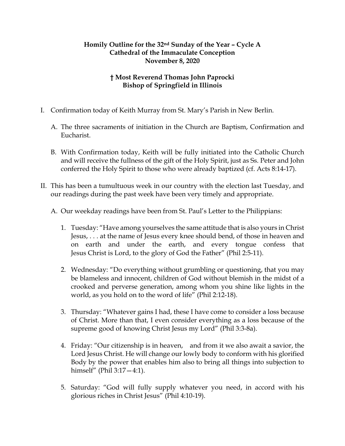## **Homily Outline for the 32nd Sunday of the Year – Cycle A Cathedral of the Immaculate Conception November 8, 2020**

## **† Most Reverend Thomas John Paprocki Bishop of Springfield in Illinois**

- I. Confirmation today of Keith Murray from St. Mary's Parish in New Berlin.
	- A. The three sacraments of initiation in the Church are Baptism, Confirmation and Eucharist.
	- B. With Confirmation today, Keith will be fully initiated into the Catholic Church and will receive the fullness of the gift of the Holy Spirit, just as Ss. Peter and John conferred the Holy Spirit to those who were already baptized (cf. Acts 8:14-17).
- II. This has been a tumultuous week in our country with the election last Tuesday, and our readings during the past week have been very timely and appropriate.
	- A. Our weekday readings have been from St. Paul's Letter to the Philippians:
		- 1. Tuesday: "Have among yourselves the same attitude that is also yours in Christ Jesus, . . . at the name of Jesus every knee should bend, of those in heaven and on earth and under the earth, and every tongue confess that Jesus Christ is Lord, to the glory of God the Father" (Phil 2:5-11).
		- 2. Wednesday: "Do everything without grumbling or questioning, that you may be blameless and innocent, children of God without blemish in the midst of a crooked and perverse generation, among whom you shine like lights in the world, as you hold on to the word of life" (Phil 2:12-18).
		- 3. Thursday: "Whatever gains I had, these I have come to consider a loss because of Christ. More than that, I even consider everything as a loss because of the supreme good of knowing Christ Jesus my Lord" (Phil 3:3-8a).
		- 4. Friday: "Our citizenship is in heaven, and from it we also await a savior, the Lord Jesus Christ. He will change our lowly body to conform with his glorified Body by the power that enables him also to bring all things into subjection to himself" (Phil 3:17—4:1).
		- 5. Saturday: "God will fully supply whatever you need, in accord with his glorious riches in Christ Jesus" (Phil 4:10-19).